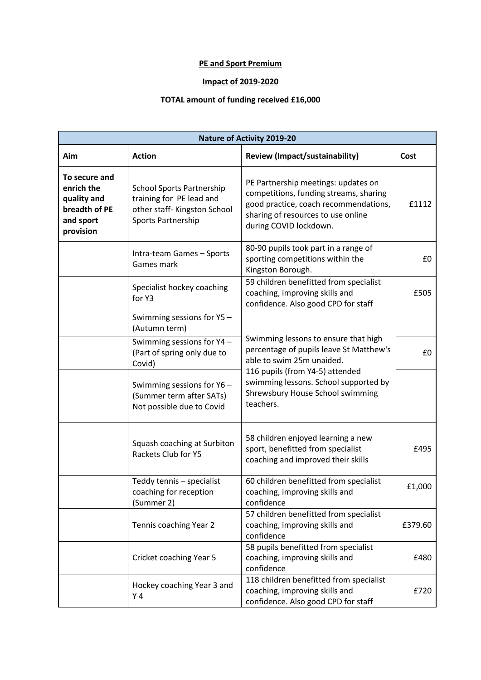## **PE and Sport Premium**

## **Impact of 2019-2020**

## **TOTAL amount of funding received £16,000**

| <b>Nature of Activity 2019-20</b>                                                     |                                                                                                                    |                                                                                                                                                                                                                                           |         |  |  |
|---------------------------------------------------------------------------------------|--------------------------------------------------------------------------------------------------------------------|-------------------------------------------------------------------------------------------------------------------------------------------------------------------------------------------------------------------------------------------|---------|--|--|
| Aim                                                                                   | <b>Action</b>                                                                                                      | <b>Review (Impact/sustainability)</b>                                                                                                                                                                                                     | Cost    |  |  |
| To secure and<br>enrich the<br>quality and<br>breadth of PE<br>and sport<br>provision | <b>School Sports Partnership</b><br>training for PE lead and<br>other staff- Kingston School<br>Sports Partnership | PE Partnership meetings: updates on<br>competitions, funding streams, sharing<br>good practice, coach recommendations,<br>sharing of resources to use online<br>during COVID lockdown.                                                    | £1112   |  |  |
|                                                                                       | Intra-team Games - Sports<br>Games mark                                                                            | 80-90 pupils took part in a range of<br>sporting competitions within the<br>Kingston Borough.                                                                                                                                             | £0      |  |  |
|                                                                                       | Specialist hockey coaching<br>for Y3                                                                               | 59 children benefitted from specialist<br>coaching, improving skills and<br>confidence. Also good CPD for staff                                                                                                                           | £505    |  |  |
|                                                                                       | Swimming sessions for Y5 -<br>(Autumn term)                                                                        | Swimming lessons to ensure that high<br>percentage of pupils leave St Matthew's<br>able to swim 25m unaided.<br>116 pupils (from Y4-5) attended<br>swimming lessons. School supported by<br>Shrewsbury House School swimming<br>teachers. |         |  |  |
|                                                                                       | Swimming sessions for Y4 -<br>(Part of spring only due to<br>Covid)                                                |                                                                                                                                                                                                                                           | £0      |  |  |
|                                                                                       | Swimming sessions for Y6 -<br>(Summer term after SATs)<br>Not possible due to Covid                                |                                                                                                                                                                                                                                           |         |  |  |
|                                                                                       | Squash coaching at Surbiton<br>Rackets Club for Y5                                                                 | 58 children enjoyed learning a new<br>sport, benefitted from specialist<br>coaching and improved their skills                                                                                                                             | £495    |  |  |
|                                                                                       | Teddy tennis - specialist<br>coaching for reception<br>(Summer 2)                                                  | 60 children benefitted from specialist<br>coaching, improving skills and<br>confidence                                                                                                                                                    | £1,000  |  |  |
|                                                                                       | Tennis coaching Year 2                                                                                             | 57 children benefitted from specialist<br>coaching, improving skills and<br>confidence                                                                                                                                                    | £379.60 |  |  |
|                                                                                       | Cricket coaching Year 5                                                                                            | 58 pupils benefitted from specialist<br>coaching, improving skills and<br>confidence                                                                                                                                                      | £480    |  |  |
|                                                                                       | Hockey coaching Year 3 and<br>Y 4                                                                                  | 118 children benefitted from specialist<br>coaching, improving skills and<br>confidence. Also good CPD for staff                                                                                                                          | £720    |  |  |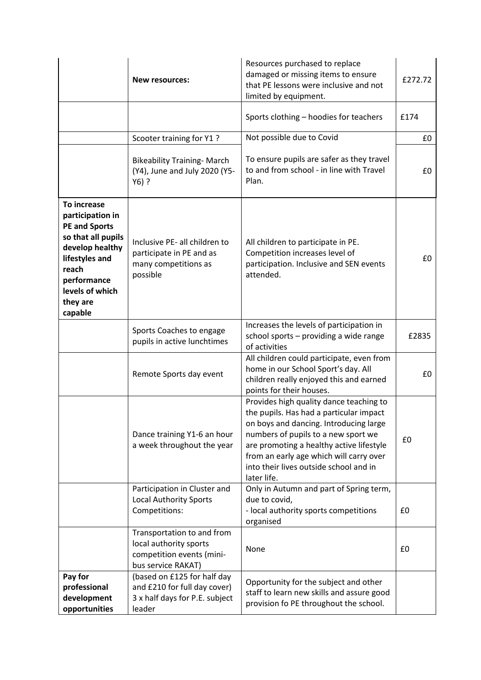|                                                                                                                                                                                      | <b>New resources:</b>                                                                                   | Resources purchased to replace<br>damaged or missing items to ensure<br>that PE lessons were inclusive and not<br>limited by equipment.                                                                                                                                                                             | £272.72 |
|--------------------------------------------------------------------------------------------------------------------------------------------------------------------------------------|---------------------------------------------------------------------------------------------------------|---------------------------------------------------------------------------------------------------------------------------------------------------------------------------------------------------------------------------------------------------------------------------------------------------------------------|---------|
|                                                                                                                                                                                      |                                                                                                         | Sports clothing - hoodies for teachers                                                                                                                                                                                                                                                                              | £174    |
|                                                                                                                                                                                      | Scooter training for Y1 ?                                                                               | Not possible due to Covid                                                                                                                                                                                                                                                                                           | £0      |
|                                                                                                                                                                                      | <b>Bikeability Training- March</b><br>(Y4), June and July 2020 (Y5-<br>$Y6)$ ?                          | To ensure pupils are safer as they travel<br>to and from school - in line with Travel<br>Plan.                                                                                                                                                                                                                      | £0      |
| To increase<br>participation in<br><b>PE and Sports</b><br>so that all pupils<br>develop healthy<br>lifestyles and<br>reach<br>performance<br>levels of which<br>they are<br>capable | Inclusive PE- all children to<br>participate in PE and as<br>many competitions as<br>possible           | All children to participate in PE.<br>Competition increases level of<br>participation. Inclusive and SEN events<br>attended.                                                                                                                                                                                        | £0      |
|                                                                                                                                                                                      | Sports Coaches to engage<br>pupils in active lunchtimes                                                 | Increases the levels of participation in<br>school sports - providing a wide range<br>of activities                                                                                                                                                                                                                 | £2835   |
|                                                                                                                                                                                      | Remote Sports day event                                                                                 | All children could participate, even from<br>home in our School Sport's day. All<br>children really enjoyed this and earned<br>points for their houses.                                                                                                                                                             | £0      |
|                                                                                                                                                                                      | Dance training Y1-6 an hour<br>a week throughout the year                                               | Provides high quality dance teaching to<br>the pupils. Has had a particular impact<br>on boys and dancing. Introducing large<br>numbers of pupils to a new sport we<br>are promoting a healthy active lifestyle<br>from an early age which will carry over<br>into their lives outside school and in<br>later life. | £0      |
|                                                                                                                                                                                      | Participation in Cluster and<br><b>Local Authority Sports</b><br>Competitions:                          | Only in Autumn and part of Spring term,<br>due to covid,<br>- local authority sports competitions<br>organised                                                                                                                                                                                                      | £0      |
|                                                                                                                                                                                      | Transportation to and from<br>local authority sports<br>competition events (mini-<br>bus service RAKAT) | None                                                                                                                                                                                                                                                                                                                | £0      |
| Pay for<br>professional<br>development<br>opportunities                                                                                                                              | (based on £125 for half day<br>and £210 for full day cover)<br>3 x half days for P.E. subject<br>leader | Opportunity for the subject and other<br>staff to learn new skills and assure good<br>provision fo PE throughout the school.                                                                                                                                                                                        |         |